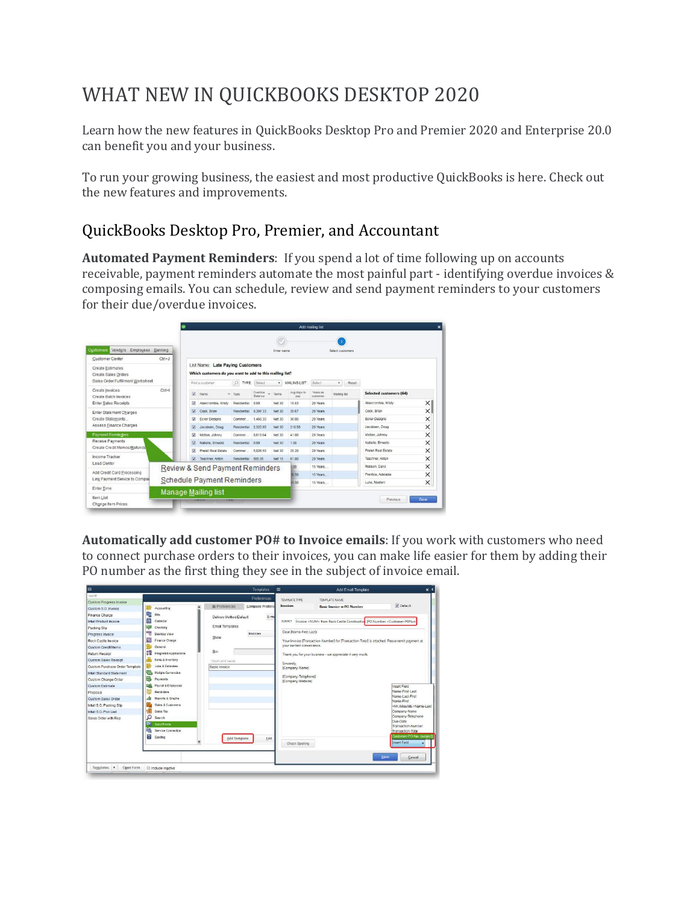### WHAT NEW IN QUICKBOOKS DESKTOP 2020

Learn how the new features in QuickBooks Desktop Pro and Premier 2020 and Enterprise 20.0 can benefit you and your business.

To run your growing business, the easiest and most productive QuickBooks is here. Check out the new features and improvements.

#### QuickBooks Desktop Pro, Premier, and Accountant

**[Automated](https://quickbooks.intuit.com/learn-support/en-us/manage-invoices/how-to-customize-and-manage-payment-reminders/00/366382) Payment Reminders**: If you spend a lot of time following up on accounts receivable, payment reminders automate the most painful part - identifying overdue invoices & composing emails. You can schedule, review and send payment reminders to your customers for their due/overdue invoices.

|                                          |            |                          |                                                          |                |                    |               |                    | Add mailing list     |                  |                         |          |
|------------------------------------------|------------|--------------------------|----------------------------------------------------------|----------------|--------------------|---------------|--------------------|----------------------|------------------|-------------------------|----------|
|                                          |            |                          |                                                          |                |                    |               |                    |                      |                  |                         |          |
| Customers Vendors<br>Employees Banking   |            |                          |                                                          |                |                    | Enter name    |                    |                      | Select customers |                         |          |
| <b>Customer Center</b>                   | $Ctrl + J$ |                          |                                                          |                |                    |               |                    |                      |                  |                         |          |
| <b>Create Estimates</b>                  |            |                          | List Name: Late Paying Customers                         |                |                    |               |                    |                      |                  |                         |          |
| Create Sales Orders                      |            |                          | Which customers do you want to add to this mailing list? |                |                    |               |                    |                      |                  |                         |          |
| Sales Order Fulfillment Worksheet        |            |                          | Find a customer                                          | O TYPE: Select |                    | $\cdot$       | MAILING LIST:      | Select               | Reset<br>٠       |                         |          |
| Create Invoices<br>Create Batch Invoices | $Ctrl + I$ | $\overline{\mathcal{F}}$ | Name                                                     | Type           | Overdue<br>Ralanze | Terms         | Avg days to<br>pay | Years as<br>customer | Maling list      | Selected customers (64) |          |
| <b>Enter Sales Receipts</b>              |            | v                        | Abercrombie, Kristy                                      | Residential    | 0.00               | Net 30        | 18.83              | 20 Years             |                  | Abercrombie, Kristy     | $\times$ |
| Enter Statement Charges                  |            | $\overline{\mathcal{L}}$ | Cook, Brian                                              | Residential    | 9,397.33           | Net 30        | 20.67              | 20 Years             |                  | Cook, Brian             | $\times$ |
| Create Statements                        |            | V                        | Ecker Designs                                            | Commer.        | 1.468.30           | Net 30        | 36.00              | 20 Years             |                  | Ecker Designs           | ×        |
| Assess Finance Charges                   |            | V.                       | Jacobsen, Doug                                           | Residential    | 2.320.00           | Net 30        | 218.50             | 20 Years             |                  | Jacobsen, Doug          | ×        |
| <b>Payment Reminders</b>                 |            | Ø.                       | Melton, Johnny                                           | Commer.        | 8.618.64           | Net 30        | 41.00              | 20 Years             |                  | Melton, Johnny          | $\times$ |
| Receive Payments                         |            | V.                       | Natiello, Ernesto                                        | Residential    | 0.00               | Net 30        | 1.00               | 20 Years             |                  | Natiello, Ernesto       | ×        |
| Create Credit Memos/Refunds              |            | V.                       | Pretell Real Estate                                      | Commer.        | 5.026.50           | Net 30        | 20.20              | 20 Years             |                  | Pretell Real Estate     | ×        |
| Income Tracker                           |            | V.                       | Teschner, Anton                                          | Residential    | 565.95             | <b>Net 15</b> | 61.00              | 20 Years             |                  | Teschner, Anton         | $\times$ |
| Lead Center                              |            |                          | <b>Review &amp; Send Payment Reminders</b>               |                |                    |               | 1.00               | 15 Years             |                  | Robson, Darci           | ×        |
| Add Credit Card Processing               |            |                          |                                                          |                |                    |               | 88.50              | 15 Years.            |                  | Prentice, Adelaide      | ×        |
| Link Payment Service to Compar           |            |                          | <b>Schedule Payment Reminders</b>                        |                |                    |               | 13.50              | 15 Years             |                  | Luke, Noelani           | $\times$ |
| Enter Time                               |            |                          | <b>Manage Mailing list</b>                               |                |                    |               |                    |                      |                  |                         |          |
| Item List<br>Change Item Prices          |            |                          |                                                          |                |                    |               |                    |                      |                  | Previous                | Save     |

**[Automatically](https://quickbooks.intuit.com/learn-support/en-us/customize-forms/customize-email-templates-in-quickbooks/00/203766) add customer PO# to Invoice emails**: If you work with customers who need to connect purchase orders to their invoices, you can make life easier for them by adding their PO number as the first thing they see in the subject of invoice email.

| lo                             |                              |                         | <b>Templates</b> | $\blacksquare$                           | Add Email Template                                                                                               | $x -$                            |
|--------------------------------|------------------------------|-------------------------|------------------|------------------------------------------|------------------------------------------------------------------------------------------------------------------|----------------------------------|
| <b>NAME</b>                    |                              |                         | Preferences      | TEMPLATE TYPE                            | TEMPLATE NAME                                                                                                    |                                  |
| Custom Progress Invoice        |                              | My Preferences          | Company Prefere  | Invoices                                 | <b>Basic Invoice w PO Number</b>                                                                                 | V Default                        |
| Custom S.O. Invoice            | ▲<br>Accounting              |                         |                  |                                          |                                                                                                                  |                                  |
| Finance Charge                 | 駒<br>Bits                    | Delivery Method Default | $E-m$            |                                          |                                                                                                                  |                                  |
| Infuit Product Invoice         | 齝<br>Calendar                |                         |                  | SUBJECT:                                 | Invoice <num> from Rock Castle Construction IPO Number: <customer-ponum< td=""><td></td></customer-ponum<></num> |                                  |
| Packing Slip                   | 寧<br>Checking                | Email Templates         |                  |                                          |                                                                                                                  |                                  |
| Progress Invoice               | 嘅<br>Desktop View            | Show                    | Invoices         | Dear [Name-First-Last]:                  |                                                                                                                  |                                  |
| Rock Castle Invoice            | 旸<br>Finance Charge          |                         |                  |                                          | Your invoice-[Transaction-Number] for [Transaction-Total] is attached. Please remit payment at                   |                                  |
| Custom Credit Memo             | General                      |                         |                  | vour earliest convenience.               |                                                                                                                  |                                  |
| Return Receipt                 | 细<br>Integrated Applications | Bcc                     |                  |                                          | Thank you for your business - we appreciate it very much.                                                        |                                  |
| Custom Sales Receipt           | <b>Nema &amp; Inventory</b>  | TEMPLATE NAME           |                  |                                          |                                                                                                                  |                                  |
| Custom Purchase Order Template | John & Felimates             | Basic Invoice           |                  | Sincerely.<br>[Company-Name]             |                                                                                                                  |                                  |
| Intuit Standard Statement      | 零<br>Multiple Currencies     |                         |                  |                                          |                                                                                                                  |                                  |
| Custom Change Order            | 쿋<br>Payments                |                         |                  | [Company-Telephone]<br>[Company-Website] |                                                                                                                  |                                  |
| <b>Custom Estimate</b>         | 55<br>Payroll & Employees    |                         |                  |                                          |                                                                                                                  | Insert Field                     |
| Proposal                       | Reminders                    |                         |                  |                                          |                                                                                                                  | Name-First-Last                  |
| Custom Sales Order             | alt<br>Reports & Graphs      |                         |                  |                                          |                                                                                                                  | Name-Last-First<br>Name-First    |
| Intuit S.O. Packing Slip       | Sales & Customers            |                         |                  |                                          |                                                                                                                  | <mr miss="" ms="">Name-Last</mr> |
| Intuit S.O. Pick List          | Sales Tax                    |                         |                  |                                          |                                                                                                                  | Company-Name                     |
| Sales Order with Rep           | ۵<br>Search                  |                         |                  |                                          |                                                                                                                  | Company-Telephone                |
|                                | ≂<br>Send Forms              |                         |                  |                                          |                                                                                                                  | Due-Date<br>Transaction-Number   |
|                                | e.<br>Service Connection     |                         |                  |                                          |                                                                                                                  | Transaction-Total                |
|                                | 琴<br>Soeling                 | Add Template            | Edit             |                                          |                                                                                                                  | Customer-PO-No. (subject)        |
|                                |                              |                         |                  | Check Spelling                           |                                                                                                                  | Insert Field                     |
|                                |                              |                         |                  |                                          |                                                                                                                  |                                  |
|                                |                              |                         |                  |                                          |                                                                                                                  | Save<br>Cancel                   |
| Templates v<br>Open Form       | Include inactive             |                         |                  |                                          |                                                                                                                  |                                  |
|                                |                              |                         |                  |                                          |                                                                                                                  |                                  |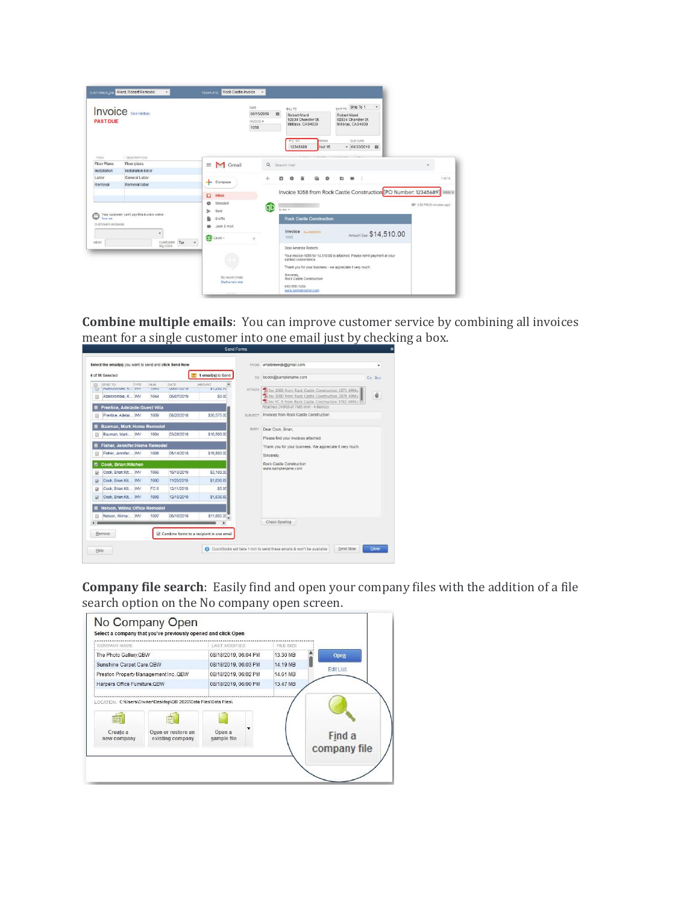| <b>PAST DUE</b>            | <b>Invoice</b> See History                  |                                                                    | DATE<br>06/15/2019<br>幽<br>INVOICE #<br>1058 | BILL TO<br><b>Robert Allard</b><br>92834 Chandler St<br>Millbrae, CA94030<br>P.O. NO<br>ERMS<br>12345689<br>Net 15 | SHIP TO Ship To 1<br>$\bullet$<br>Robert Allard<br>92834 Chandler St.<br>Millbrae, CA94030<br>DUE DATE<br>$-06/30/2019$ m |                            |
|----------------------------|---------------------------------------------|--------------------------------------------------------------------|----------------------------------------------|--------------------------------------------------------------------------------------------------------------------|---------------------------------------------------------------------------------------------------------------------------|----------------------------|
| <b>ITEM</b><br>Floor Plans | <b>DESCRIPTION</b><br>Floor plans           | M Gmail<br>$\equiv$                                                | Q Search mail                                |                                                                                                                    |                                                                                                                           | ٠                          |
| Installation               | Installation labor                          |                                                                    |                                              |                                                                                                                    |                                                                                                                           |                            |
| Labor                      | General Labor                               | Compose                                                            | ÷<br>o                                       | $\circ$<br>商                                                                                                       | <b>C</b><br>$\mathbf{B}$                                                                                                  | 1 of 16                    |
|                            | Your customer can't pay this invoice online | $\Box$<br>Inbox<br>Snoozed<br>۰<br>Sent<br>⇒<br><b>Drafts</b><br>囹 | ab                                           | to me =<br><b>Rock Castle Construction</b>                                                                         | Invoice 1058 from Rock Castle Construction [PO Number: 12345689]                                                          | GD 3:52 PM (8 minutes ago) |

**[Combine](https://quickbooks.intuit.com/learn-support/en-us/help-articles/email-sales-forms-in-quickbooks-desktop/00/216773) multiple emails**: You can improve customer service by combining all invoices meant for a single customer into one email just by checking a box.

|   | 4 of 11 Selected                                               |                 |                    | 1 email(s) to Send                        |         | TO bcook@samplename.com<br>Ce: Beet                                                                                                                             |
|---|----------------------------------------------------------------|-----------------|--------------------|-------------------------------------------|---------|-----------------------------------------------------------------------------------------------------------------------------------------------------------------|
|   | SEND TO<br>TYPE<br>PUBLICITION, A., INV                        | NUM<br>TUN3     | DATE<br>UGIOTIZUTE | AMOUNT<br>01,606,10                       | ATTACH  | Tilmy 1066 from Rock Castle Construction 1871 4964.                                                                                                             |
|   | Abercrombie, K., INV<br><b>Prentice, Adelaide: Guest Villa</b> | 1044            | 06/07/2019         | \$0.00                                    |         | Ū<br>Tilmy 1080 from Rock Castle Construction 2876 4964.<br>Till Inv FC 6 from Rock Castle Construction 3792 4964.r<br>Attached 240KB of 7MB limit - 4 item(s). |
|   | Prentice, Adelai INV                                           | 1009            | 08/20/2018         | \$36,575.00                               | SUBJECT | Invoices from Rock Castle Construction                                                                                                                          |
|   | Bauman, Mark:Home Remodel<br>Bauman, Mark INV                  | 1004            | 03/28/2018         | \$16,500.00                               | BODY:   | Dear Cook, Brian,<br>Please find your invoices attached.                                                                                                        |
|   | Fisher, Jennifer: Home Remodel<br>Fisher, Jennifer INV         | 1006            | 05/14/2018         | \$16,500.00                               |         | Thank you for your business. We appreciate it very much.<br>Sincerely.                                                                                          |
| u | <b>Cook, Brian:Kitchen</b>                                     |                 |                    |                                           |         | Rock Castle Construction                                                                                                                                        |
| 9 | Cook, Brian:Kit., INV                                          | 1066            | 10/15/2019         | \$3,100.00                                |         | www.samplename.com                                                                                                                                              |
| G | Cook, Brian:Kit INV                                            | 1080            | 11/25/2019         | \$1,636.69                                |         |                                                                                                                                                                 |
|   | Cook, Brian:Kit.,, INV                                         | FC <sub>6</sub> | 12/11/2019         | \$5.95                                    |         |                                                                                                                                                                 |
|   | Cook, Brian:Kit INV                                            | 1098            | 12/15/2019         | \$1,636.69                                |         |                                                                                                                                                                 |
|   | <b>Nelson, Wilma:Office Remodel</b>                            |                 |                    |                                           |         |                                                                                                                                                                 |
|   | Nelson, Wilma: INV                                             | 1007            | 06/16/2018         | \$11,605.00                               |         |                                                                                                                                                                 |
|   | Remove                                                         |                 |                    | Combine forms to a recipient in one email |         | Check Spelling                                                                                                                                                  |

**Company file search**: Easily find and open your company files with the addition of a file search option on the No company open screen.

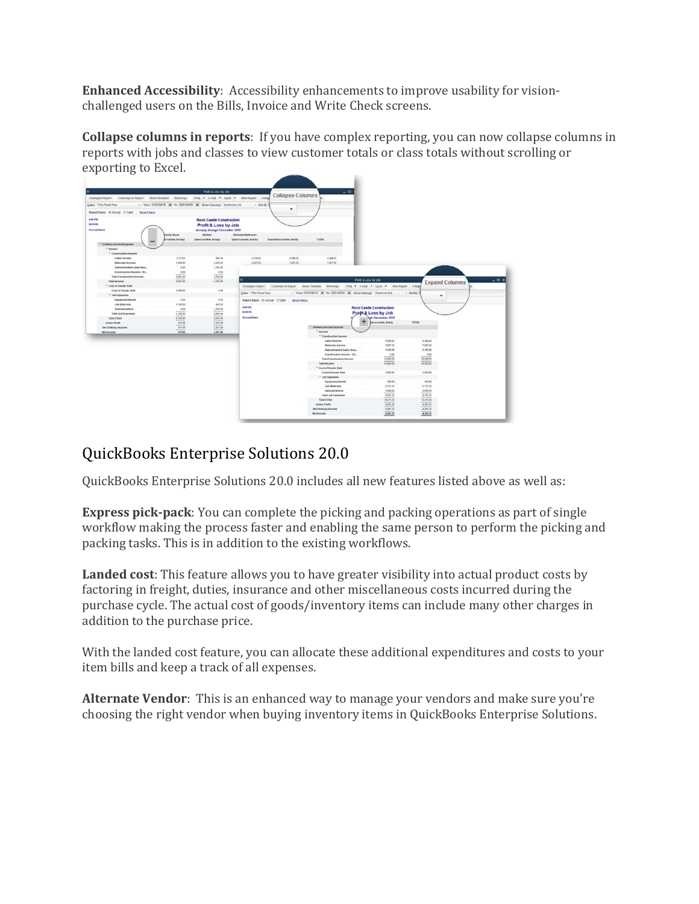**Enhanced Accessibility**: Accessibility enhancements to improve usability for visionchallenged users on the Bills, Invoice and Write Check screens.

**Collapse columns in reports**: If you have complex reporting, you can now collapse columns in reports with jobs and classes to view customer totals or class totals without scrolling or exporting to Excel.

|                                                            |                                                               | Profit & Loss by Job                                         |                                                    |                                                            |                                          | $-0$                                                              |                      |                       |
|------------------------------------------------------------|---------------------------------------------------------------|--------------------------------------------------------------|----------------------------------------------------|------------------------------------------------------------|------------------------------------------|-------------------------------------------------------------------|----------------------|-----------------------|
| Customize Report Comment on Report Share Template Memorize |                                                               |                                                              | Print Collage E-mail Collage Excel Collage Collage | <b>Collapse Columns</b>                                    |                                          |                                                                   |                      |                       |
| Dates This Fiscal Year                                     | - From 01/01/2019 E To 12/31/2019 E Show Columns Customer Job |                                                              | - Sort By                                          |                                                            |                                          |                                                                   |                      |                       |
| Report Basis: @ Accrual @ Cash Show Filters                |                                                               |                                                              |                                                    | $\cdot$                                                    |                                          |                                                                   |                      |                       |
| 5:48 PM                                                    |                                                               | <b>Rock Castle Construction</b>                              |                                                    |                                                            |                                          |                                                                   |                      |                       |
| 08/19/19<br><b>Accrual Basis</b>                           |                                                               | Profit & Loss by Job<br><b>January through December 2019</b> |                                                    |                                                            |                                          |                                                                   |                      |                       |
|                                                            | amily Room<br>crombie, Kristy)                                | Kitchen<br>(Abercrombie, Kristy)                             | <b>Remodel Bathroom</b><br>(Abercrombie, Kristy)   | Total Abercrombie, Kristy                                  | TOTAL                                    |                                                                   |                      |                       |
| " Ordinary Income/Expense<br>* Income                      |                                                               |                                                              |                                                    |                                                            |                                          |                                                                   |                      |                       |
| <sup>T</sup> Construction Income                           |                                                               |                                                              |                                                    |                                                            |                                          |                                                                   |                      |                       |
| Labor Income                                               | 1,111.25                                                      | \$60.00                                                      | 2718.00                                            | 4,389.25                                                   | 4,389.25                                 |                                                                   |                      |                       |
| <b>Materials Income</b>                                    | 1,549.00                                                      | 2,930.00                                                     | 2,227.50                                           | 7,007.30                                                   | 7,007.30                                 |                                                                   |                      |                       |
| Subcontracted Labor Inco.,                                 | 0.00                                                          | 1,302.00                                                     |                                                    |                                                            |                                          |                                                                   |                      |                       |
| Construction Income - Ot.,                                 | 0.00                                                          | 0.00                                                         |                                                    |                                                            |                                          |                                                                   |                      |                       |
| <b>Total Construction Income</b>                           | 2,961.05                                                      | 4,792.00                                                     |                                                    |                                                            |                                          |                                                                   |                      |                       |
| <b>Total Income</b>                                        | 2,961.05                                                      | 4,792.00                                                     |                                                    |                                                            |                                          | Profit & Loss by Job                                              |                      | <b>Expand Columns</b> |
| <sup>*</sup> Cost of Goods Sold                            |                                                               |                                                              |                                                    | Customize Report Comment on Report Share Template Memorize |                                          | Print v E-mail v Excel v Hide Hegder Collage                      |                      |                       |
| Cost of Goods Sold                                         | 1,050.00                                                      | 0.00                                                         | Dates This Fiscal Year                             |                                                            |                                          | - From 01/01/2019 III To 12/31/2019 III Show Columns Customer.Job |                      |                       |
| <sup>=</sup> Job Expenses                                  |                                                               |                                                              |                                                    |                                                            |                                          |                                                                   | - Sort By I<br>٠     |                       |
| <b>Equipment Rental</b>                                    | 0.00                                                          | 0.00                                                         | Report Basis: @ Accrual @ Cash                     | <b>Show Filters</b>                                        |                                          |                                                                   |                      |                       |
| <b>Job Materials</b>                                       | 1,100.00                                                      | 945.00                                                       |                                                    |                                                            |                                          |                                                                   |                      |                       |
| Subcontractors                                             | 0.00                                                          | 1,700.00                                                     | 5:48 PM                                            |                                                            |                                          | <b>Rock Castle Construction</b>                                   |                      |                       |
| <b>Total Job Expenses</b>                                  | 1,100.00                                                      | 2,645.00                                                     | 001019                                             |                                                            |                                          | <b>Profit &amp; Loss by Job</b>                                   |                      |                       |
| Total COGS                                                 | 2,150.00                                                      | 2,645.00                                                     | <b>Accrual Basis</b>                               |                                                            |                                          | gh December 2019                                                  |                      |                       |
| <b>Gross Profit</b>                                        | 811.05                                                        | 2,147.00                                                     |                                                    |                                                            |                                          | bercrombie, Kristy                                                | TOTAL                |                       |
| <b>Net Ordinary Income</b>                                 | 811.05                                                        | 2,147.00                                                     |                                                    |                                                            | " Ordinary Incorne/Expense               |                                                                   |                      |                       |
| Net Income                                                 | 811.05                                                        | 2,147,00                                                     |                                                    |                                                            | * Income                                 |                                                                   |                      |                       |
|                                                            |                                                               |                                                              |                                                    |                                                            | Construction Income                      |                                                                   |                      |                       |
|                                                            |                                                               |                                                              |                                                    |                                                            | Labor Income                             | 4,389.25                                                          | 4,389.25             |                       |
|                                                            |                                                               |                                                              |                                                    |                                                            | <b>Materials Income</b>                  | 7,007.30                                                          | 7.007.50             |                       |
|                                                            |                                                               |                                                              |                                                    |                                                            | Subcontracted Labor Inco                 | 3,106.00                                                          | 3,106.00             |                       |
|                                                            |                                                               |                                                              |                                                    |                                                            | Construction Income - Ot                 | 0.00                                                              | 0.00                 |                       |
|                                                            |                                                               |                                                              |                                                    |                                                            | <b>Total Construction Income</b>         | 14.502.55                                                         | 14.502.55            |                       |
|                                                            |                                                               |                                                              |                                                    |                                                            | <b>Total Income</b>                      | 14.502.55                                                         | 14,502.55            |                       |
|                                                            |                                                               |                                                              |                                                    |                                                            | <sup>"</sup> Cost of Goods Sold          |                                                                   |                      |                       |
|                                                            |                                                               |                                                              |                                                    |                                                            | Cost of Goods Sold                       | 1,050.00                                                          | 1,050.00             |                       |
|                                                            |                                                               |                                                              |                                                    |                                                            | T Job Expenses                           |                                                                   |                      |                       |
|                                                            |                                                               |                                                              |                                                    |                                                            | Equipment Rental                         | 300.00.                                                           | 300.00               |                       |
|                                                            |                                                               |                                                              |                                                    |                                                            | <b>Job Materials</b>                     | 5,771.23                                                          | 5,771.23             |                       |
|                                                            |                                                               |                                                              |                                                    |                                                            | Subcontractors                           | 3,090.00                                                          | 3,090.00             |                       |
|                                                            |                                                               |                                                              |                                                    |                                                            | <b>Total Job Expenses</b>                | 9,101.23                                                          | 9,161.23             |                       |
|                                                            |                                                               |                                                              |                                                    |                                                            |                                          |                                                                   |                      |                       |
|                                                            |                                                               |                                                              |                                                    |                                                            |                                          |                                                                   |                      |                       |
|                                                            |                                                               |                                                              |                                                    |                                                            | <b>Total COGS</b>                        | 18,211.23                                                         | 10.211.23            |                       |
|                                                            |                                                               |                                                              |                                                    |                                                            | Grous Profit                             | 4,291.32                                                          | 4,291.32             |                       |
|                                                            |                                                               |                                                              |                                                    |                                                            | Net Ordinary Income<br><b>Net Income</b> | 4,291.32<br>4,291.32                                              | 4,291.32<br>4,291.32 |                       |

#### QuickBooks Enterprise Solutions 20.0

QuickBooks Enterprise Solutions 20.0 includes all new features listed above as well as:

**Express [pick-pack](https://quickbooks.intuit.com/learn-support/en-us/sales-orders/express-pack-tab-in-sales-order-fulfillment/00/366385)**: You can complete the picking and packing operations as part of single workflow making the process faster and enabling the same person to perform the picking and packing tasks. This is in addition to the existing workflows.

**[Landed](https://quickbooks.intuit.com/learn-support/en-us/manage-inventory/how-to-set-up-landed-cost-in-quickbooks-enterprise-services/00/366383) cost**: This feature allows you to have greater visibility into actual product costs by factoring in freight, duties, insurance and other miscellaneous costs incurred during the purchase cycle. The actual cost of goods/inventory items can include many other charges in addition to the purchase price.

With the landed cost feature, you can allocate these additional expenditures and costs to your item bills and keep a track of all expenses.

**[Alternate](https://quickbooks.intuit.com/learn-support/en-us/manage-vendors/how-to-use-alternate-vendors-in-quickbooks-enterprise-solutions/00/366379) Vendor**: This is an enhanced way to manage your vendors and make sure you're choosing the right vendor when buying inventory items in QuickBooks Enterprise Solutions.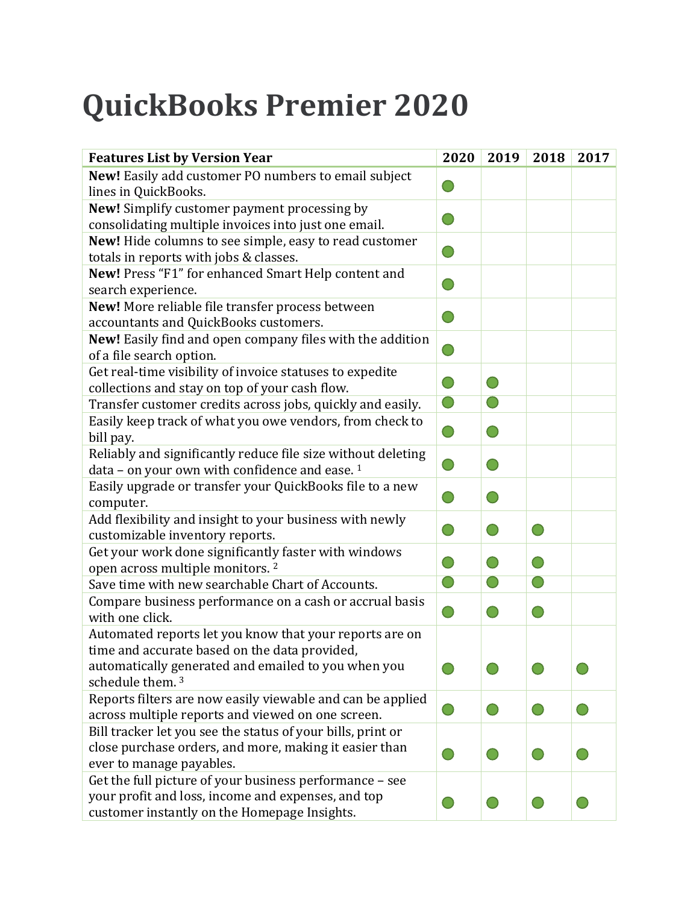# **QuickBooks Premier 2020**

| <b>Features List by Version Year</b>                             | 2020       | 2019       | 2018 | 2017 |
|------------------------------------------------------------------|------------|------------|------|------|
| New! Easily add customer PO numbers to email subject             |            |            |      |      |
| lines in QuickBooks.                                             |            |            |      |      |
| New! Simplify customer payment processing by                     |            |            |      |      |
| consolidating multiple invoices into just one email.             |            |            |      |      |
| New! Hide columns to see simple, easy to read customer           |            |            |      |      |
| totals in reports with jobs & classes.                           |            |            |      |      |
| New! Press "F1" for enhanced Smart Help content and              |            |            |      |      |
| search experience.                                               |            |            |      |      |
| New! More reliable file transfer process between                 |            |            |      |      |
| accountants and QuickBooks customers.                            |            |            |      |      |
| <b>New!</b> Easily find and open company files with the addition |            |            |      |      |
| of a file search option.                                         |            |            |      |      |
| Get real-time visibility of invoice statuses to expedite         |            |            |      |      |
| collections and stay on top of your cash flow.                   |            |            |      |      |
| Transfer customer credits across jobs, quickly and easily.       | $\bigcirc$ | $\bigcirc$ |      |      |
| Easily keep track of what you owe vendors, from check to         |            |            |      |      |
| bill pay.                                                        |            |            |      |      |
| Reliably and significantly reduce file size without deleting     |            |            |      |      |
| data - on your own with confidence and ease. <sup>1</sup>        |            |            |      |      |
| Easily upgrade or transfer your QuickBooks file to a new         |            |            |      |      |
| computer.                                                        |            |            |      |      |
| Add flexibility and insight to your business with newly          |            |            |      |      |
| customizable inventory reports.                                  |            |            |      |      |
| Get your work done significantly faster with windows             |            |            |      |      |
| open across multiple monitors. <sup>2</sup>                      |            |            |      |      |
| Save time with new searchable Chart of Accounts.                 | $\bigcirc$ | $\bigcirc$ |      |      |
| Compare business performance on a cash or accrual basis          |            |            |      |      |
| with one click.                                                  |            |            |      |      |
| Automated reports let you know that your reports are on          |            |            |      |      |
| time and accurate based on the data provided,                    |            |            |      |      |
| automatically generated and emailed to you when you              |            |            |      |      |
| schedule them. <sup>3</sup>                                      |            |            |      |      |
| Reports filters are now easily viewable and can be applied       |            |            |      |      |
| across multiple reports and viewed on one screen.                |            |            |      |      |
| Bill tracker let you see the status of your bills, print or      |            |            |      |      |
| close purchase orders, and more, making it easier than           |            |            |      |      |
| ever to manage payables.                                         |            |            |      |      |
| Get the full picture of your business performance - see          |            |            |      |      |
| your profit and loss, income and expenses, and top               |            |            |      |      |
| customer instantly on the Homepage Insights.                     |            |            |      |      |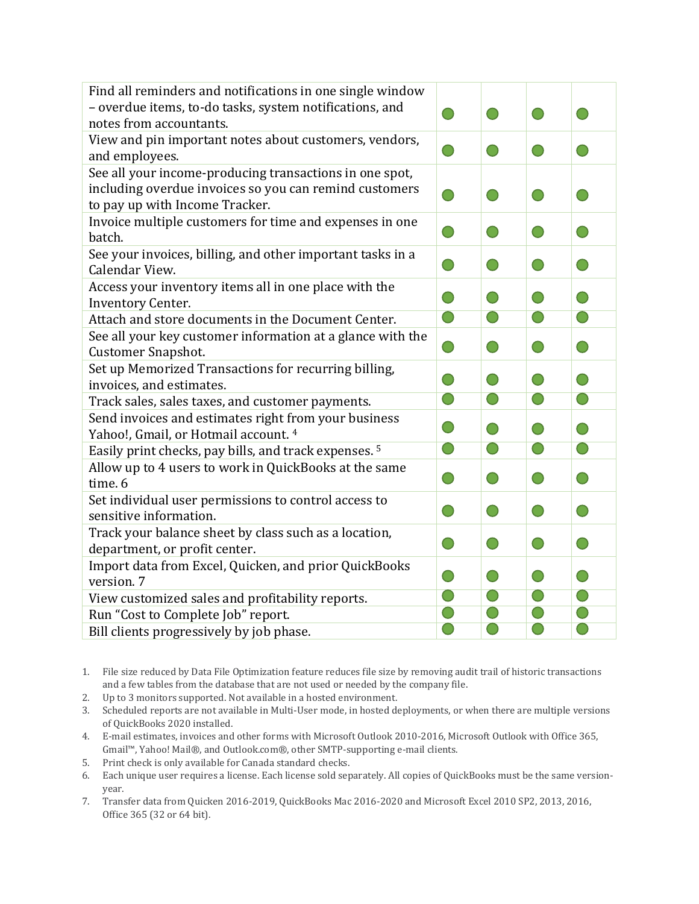| Find all reminders and notifications in one single window<br>- overdue items, to-do tasks, system notifications, and<br>notes from accountants. |                                               |            | $\bigcirc$                                    |                                                             |
|-------------------------------------------------------------------------------------------------------------------------------------------------|-----------------------------------------------|------------|-----------------------------------------------|-------------------------------------------------------------|
| View and pin important notes about customers, vendors,<br>and employees.                                                                        | $\rightarrow$                                 | $\bigcirc$ | $\bigcirc$                                    | $\bigcirc$                                                  |
| See all your income-producing transactions in one spot,<br>including overdue invoices so you can remind customers                               |                                               |            |                                               |                                                             |
| to pay up with Income Tracker.                                                                                                                  |                                               | $\bigcirc$ | $\bigcirc$                                    | $\bigcirc$                                                  |
| Invoice multiple customers for time and expenses in one<br>batch.                                                                               | $\left( \begin{array}{c} \end{array} \right)$ | $\bigcirc$ | $\left( \begin{array}{c} \end{array} \right)$ | $\begin{array}{c} \begin{array}{c} \end{array} \end{array}$ |
| See your invoices, billing, and other important tasks in a<br>Calendar View.                                                                    |                                               | $\bigcirc$ | $\bigcirc$                                    | $\begin{pmatrix} 1 \end{pmatrix}$                           |
| Access your inventory items all in one place with the<br>Inventory Center.                                                                      |                                               | $\bigcirc$ | $\bigcirc$                                    | $\bigcap$                                                   |
| Attach and store documents in the Document Center.                                                                                              | $\bigcirc$                                    | $\bigcirc$ | $\bigcirc$                                    | $\bigcirc$                                                  |
| See all your key customer information at a glance with the<br><b>Customer Snapshot.</b>                                                         | $\begin{pmatrix} 1 \\ 1 \end{pmatrix}$        | $\bigcirc$ | $\bigcirc$                                    | $\bigcirc$                                                  |
| Set up Memorized Transactions for recurring billing,                                                                                            |                                               |            |                                               |                                                             |
| invoices, and estimates.                                                                                                                        |                                               | $\bigcirc$ | $\bigcap$                                     | $\bigcirc$                                                  |
| Track sales, sales taxes, and customer payments.                                                                                                | $\bigcirc$                                    | $\bigcirc$ | $\bigcirc$                                    | $\bigcirc$                                                  |
| Send invoices and estimates right from your business<br>Yahoo!, Gmail, or Hotmail account. 4                                                    | $\bigcirc$                                    | $\bigcirc$ | $\bigcirc$                                    | $\bigcirc$                                                  |
| Easily print checks, pay bills, and track expenses. <sup>5</sup>                                                                                | $\bigcirc$                                    | $\bigcirc$ | $\bigcirc$                                    | $\bigcirc$                                                  |
| Allow up to 4 users to work in QuickBooks at the same<br>time. 6                                                                                |                                               | $\bigcirc$ | $\bigcirc$                                    | $\bigcirc$                                                  |
| Set individual user permissions to control access to                                                                                            |                                               |            |                                               |                                                             |
| sensitive information.                                                                                                                          |                                               | $\bigcirc$ | $\bigcirc$                                    | $\bigcirc$                                                  |
| Track your balance sheet by class such as a location,                                                                                           |                                               |            |                                               |                                                             |
| department, or profit center.                                                                                                                   | $\bigcirc$                                    | $\bigcirc$ | $\bigcirc$                                    | $\bigcirc$                                                  |
| Import data from Excel, Quicken, and prior QuickBooks                                                                                           | $\overline{\phantom{0}}$                      | $\bigcirc$ | $\bigcirc$                                    | $\bigcirc$                                                  |
| version. 7                                                                                                                                      |                                               |            |                                               |                                                             |
| View customized sales and profitability reports.                                                                                                | $\bigcirc$                                    | $\bigcirc$ | $\bigcirc$                                    | $\bigcirc$                                                  |
| Run "Cost to Complete Job" report.                                                                                                              |                                               | $\bigcirc$ | $\bigcirc$                                    | $\bigcirc$                                                  |
| Bill clients progressively by job phase.                                                                                                        |                                               | $\bigcirc$ | $\bigcirc$                                    | $\bigcirc$                                                  |

<sup>1.</sup> File size reduced by Data File Optimization feature reduces file size by removing audit trail of historic transactions and a few tables from the database that are not used or needed by the company file.

- 2. Up to 3 monitors supported. Not available in a hosted environment.
- 3. Scheduled reports are not available in Multi-User mode, in hosted deployments, or when there are multiple versions of QuickBooks 2020 installed.
- 4. E-mail estimates, invoices and other forms with Microsoft Outlook 2010-2016, Microsoft Outlook with Office 365, Gmail™, Yahoo! Mail®, and Outlook.com®, other SMTP-supporting e-mail clients.
- 5. Print check is only available for Canada standard checks.
- 6. Each unique user requires a license. Each license sold separately. All copies of QuickBooks must be the same versionyear.
- 7. Transfer data from Quicken 2016-2019, QuickBooks Mac 2016-2020 and Microsoft Excel 2010 SP2, 2013, 2016, Office 365 (32 or 64 bit).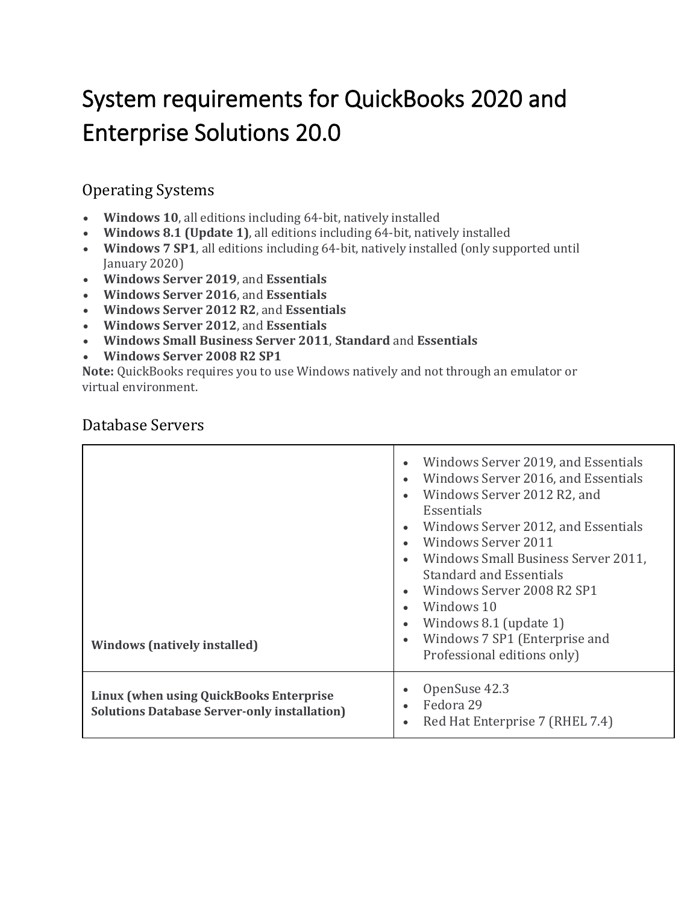# System requirements for QuickBooks 2020 and Enterprise Solutions 20.0

#### Operating Systems

- **Windows 10**, all editions including 64-bit, natively installed
- **Windows 8.1 (Update 1)**, all editions including 64-bit, natively installed
- **Windows 7 SP1**, all editions including 64-bit, natively installed (only supported until January 2020)
- **Windows Server 2019**, and **Essentials**
- **Windows Server 2016**, and **Essentials**
- **Windows Server 2012 R2**, and **Essentials**
- **Windows Server 2012**, and **Essentials**
- **Windows Small Business Server 2011**, **Standard** and **Essentials**
- **Windows Server 2008 R2 SP1**

**Note:** QuickBooks requires you to use Windows natively and not through an emulator or virtual environment.

| <b>Windows (natively installed)</b>                                                            | Windows Server 2019, and Essentials<br>Windows Server 2016, and Essentials<br>Windows Server 2012 R2, and<br>Essentials<br>Windows Server 2012, and Essentials<br>Windows Server 2011<br>Windows Small Business Server 2011,<br><b>Standard and Essentials</b><br>Windows Server 2008 R2 SP1<br>Windows 10<br>Windows 8.1 (update 1)<br>Windows 7 SP1 (Enterprise and<br>Professional editions only) |
|------------------------------------------------------------------------------------------------|------------------------------------------------------------------------------------------------------------------------------------------------------------------------------------------------------------------------------------------------------------------------------------------------------------------------------------------------------------------------------------------------------|
| Linux (when using QuickBooks Enterprise<br><b>Solutions Database Server-only installation)</b> | OpenSuse 42.3<br>Fedora 29<br>Red Hat Enterprise 7 (RHEL 7.4)                                                                                                                                                                                                                                                                                                                                        |

#### Database Servers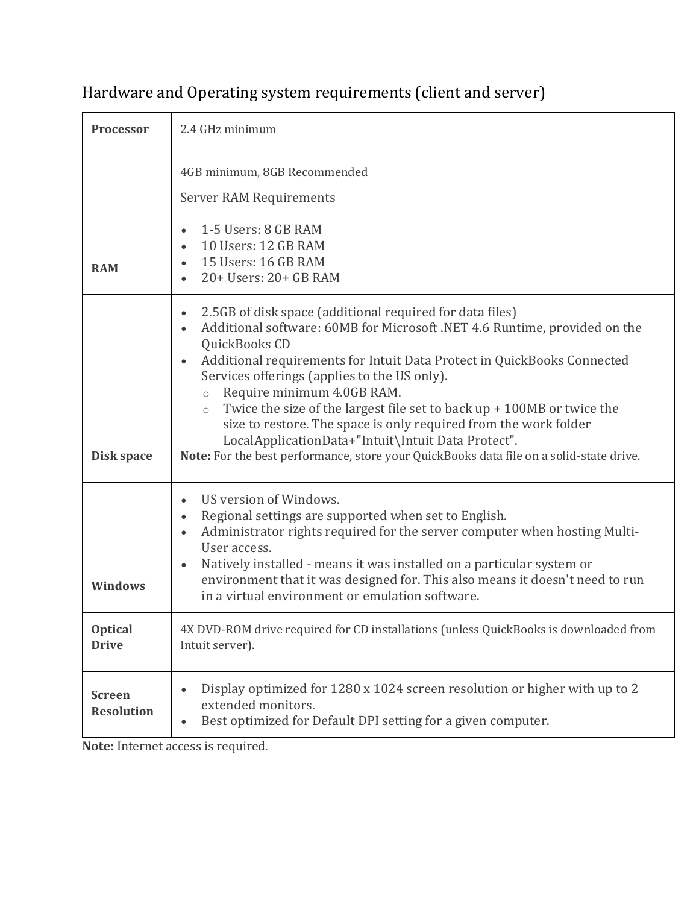## Hardware and Operating system requirements (client and server)

| <b>Processor</b>                   | 2.4 GHz minimum                                                                                                                                                                                                                                                                                                                                                                                                                                                                                                                                                                                                                                     |
|------------------------------------|-----------------------------------------------------------------------------------------------------------------------------------------------------------------------------------------------------------------------------------------------------------------------------------------------------------------------------------------------------------------------------------------------------------------------------------------------------------------------------------------------------------------------------------------------------------------------------------------------------------------------------------------------------|
| <b>RAM</b>                         | 4GB minimum, 8GB Recommended<br><b>Server RAM Requirements</b><br>1-5 Users: 8 GB RAM<br>10 Users: 12 GB RAM<br>15 Users: 16 GB RAM<br>$\bullet$<br>$20+$ Users: $20+$ GB RAM                                                                                                                                                                                                                                                                                                                                                                                                                                                                       |
| Disk space                         | 2.5GB of disk space (additional required for data files)<br>Additional software: 60MB for Microsoft .NET 4.6 Runtime, provided on the<br>QuickBooks CD<br>Additional requirements for Intuit Data Protect in QuickBooks Connected<br>$\bullet$<br>Services offerings (applies to the US only).<br>Require minimum 4.0GB RAM.<br>$\circ$<br>Twice the size of the largest file set to back $up + 100MB$ or twice the<br>$\circ$<br>size to restore. The space is only required from the work folder<br>LocalApplicationData+"Intuit\Intuit Data Protect".<br>Note: For the best performance, store your QuickBooks data file on a solid-state drive. |
| <b>Windows</b>                     | US version of Windows.<br>Regional settings are supported when set to English.<br>$\bullet$<br>Administrator rights required for the server computer when hosting Multi-<br>$\bullet$<br>User access.<br>Natively installed - means it was installed on a particular system or<br>$\bullet$<br>environment that it was designed for. This also means it doesn't need to run<br>in a virtual environment or emulation software.                                                                                                                                                                                                                      |
| <b>Optical</b><br><b>Drive</b>     | 4X DVD-ROM drive required for CD installations (unless QuickBooks is downloaded from<br>Intuit server).                                                                                                                                                                                                                                                                                                                                                                                                                                                                                                                                             |
| <b>Screen</b><br><b>Resolution</b> | Display optimized for 1280 x 1024 screen resolution or higher with up to 2<br>$\bullet$<br>extended monitors.<br>Best optimized for Default DPI setting for a given computer.<br>$\bullet$                                                                                                                                                                                                                                                                                                                                                                                                                                                          |

**Note:** Internet access is required.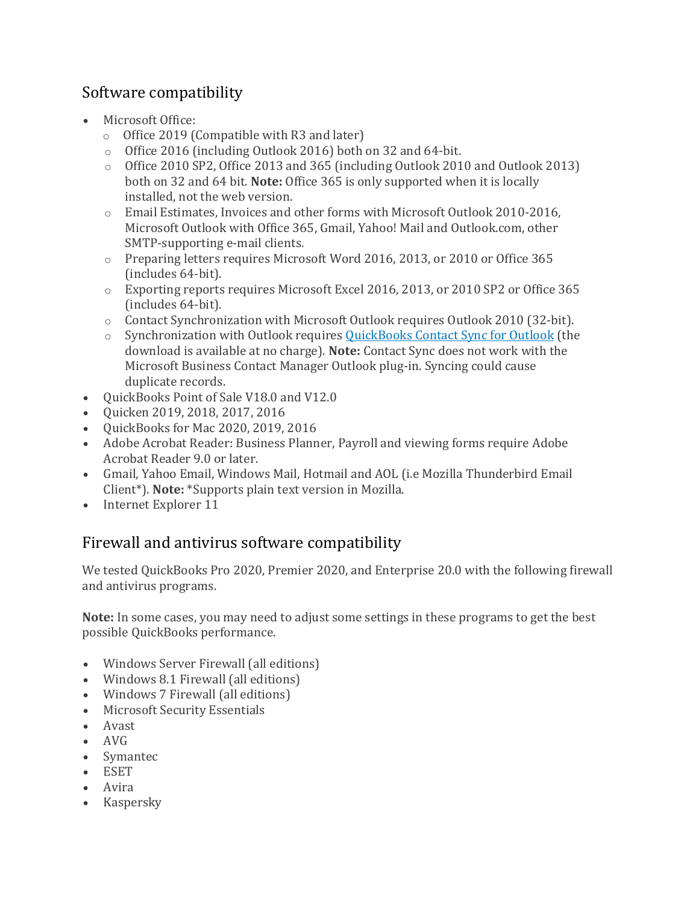#### Software compatibility

- Microsoft Office:
	- o Office 2019 (Compatible with R3 and later)
	- o Office 2016 (including Outlook 2016) both on 32 and 64-bit.
	- o Office 2010 SP2, Office 2013 and 365 (including Outlook 2010 and Outlook 2013) both on 32 and 64 bit. **Note:** Office 365 is only supported when it is locally installed, not the web version.
	- o Email Estimates, Invoices and other forms with Microsoft Outlook 2010-2016, Microsoft Outlook with Office 365, Gmail, Yahoo! Mail and Outlook.com, other SMTP-supporting e-mail clients.
	- o Preparing letters requires Microsoft Word 2016, 2013, or 2010 or Office 365 (includes 64-bit).
	- o Exporting reports requires Microsoft Excel 2016, 2013, or 2010 SP2 or Office 365 (includes 64-bit).
	- o Contact Synchronization with Microsoft Outlook requires Outlook 2010 (32-bit).
	- o Synchronization with Outlook requires [QuickBooks](https://www.quickbooks.com/contact_sync) Contact Sync for Outlook (the download is available at no charge). **Note:** Contact Sync does not work with the Microsoft Business Contact Manager Outlook plug-in. Syncing could cause duplicate records.
- QuickBooks Point of Sale V18.0 and V12.0
- Quicken 2019, 2018, 2017, 2016
- QuickBooks for Mac 2020, 2019, 2016
- Adobe Acrobat Reader: Business Planner, Payroll and viewing forms require Adobe Acrobat Reader 9.0 or later.
- Gmail, Yahoo Email, Windows Mail, Hotmail and AOL (i.e Mozilla Thunderbird Email Client\*). **Note:** \*Supports plain text version in Mozilla.
- Internet Explorer 11

#### Firewall and antivirus software compatibility

We tested QuickBooks Pro 2020, Premier 2020, and Enterprise 20.0 with the following firewall and antivirus programs.

**Note:** In some cases, you may need to adjust some settings in these programs to get the best possible QuickBooks performance.

- Windows Server Firewall (all editions)
- Windows 8.1 Firewall (all editions)
- Windows 7 Firewall (all editions)
- Microsoft Security Essentials
- Avast
- AVG
- Symantec
- ESET
- Avira
- Kaspersky